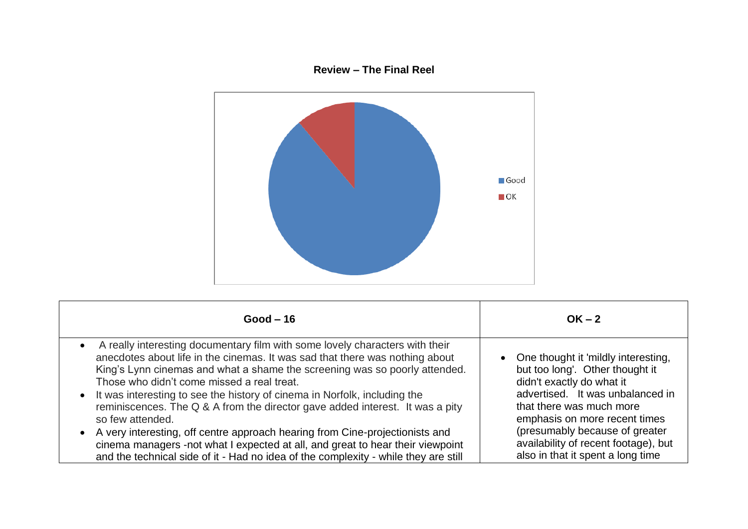## **Review – The Final Reel**



| Good $-16$                                                                                                                                                                                                                                                                               | $OK - 2$                                                                                              |
|------------------------------------------------------------------------------------------------------------------------------------------------------------------------------------------------------------------------------------------------------------------------------------------|-------------------------------------------------------------------------------------------------------|
| A really interesting documentary film with some lovely characters with their<br>anecdotes about life in the cinemas. It was sad that there was nothing about<br>King's Lynn cinemas and what a shame the screening was so poorly attended.<br>Those who didn't come missed a real treat. | • One thought it 'mildly interesting,<br>but too long'. Other thought it<br>didn't exactly do what it |
| • It was interesting to see the history of cinema in Norfolk, including the                                                                                                                                                                                                              | advertised. It was unbalanced in                                                                      |
| reminiscences. The Q & A from the director gave added interest. It was a pity                                                                                                                                                                                                            | that there was much more                                                                              |
| so few attended.                                                                                                                                                                                                                                                                         | emphasis on more recent times                                                                         |
| • A very interesting, off centre approach hearing from Cine-projectionists and                                                                                                                                                                                                           | (presumably because of greater                                                                        |
| cinema managers -not what I expected at all, and great to hear their viewpoint                                                                                                                                                                                                           | availability of recent footage), but                                                                  |
| and the technical side of it - Had no idea of the complexity - while they are still                                                                                                                                                                                                      | also in that it spent a long time                                                                     |